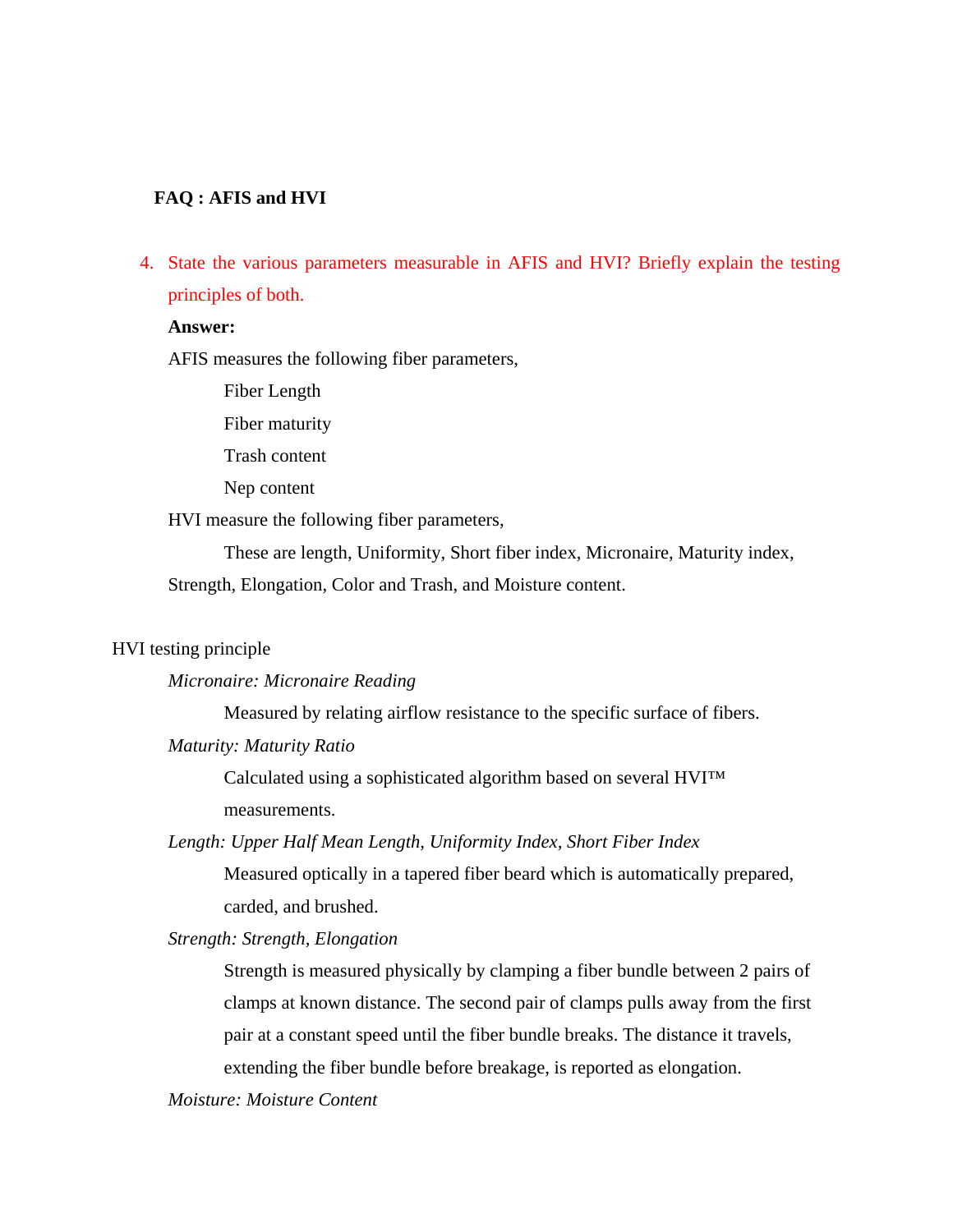### **FAQ : AFIS and HVI**

4. State the various parameters measurable in AFIS and HVI? Briefly explain the testing principles of both.

#### **Answer:**

AFIS measures the following fiber parameters,

Fiber Length

Fiber maturity

Trash content

Nep content

HVI measure the following fiber parameters,

These are length, Uniformity, Short fiber index, Micronaire, Maturity index, Strength, Elongation, Color and Trash, and Moisture content.

### HVI testing principle

*Micronaire: Micronaire Reading* 

Measured by relating airflow resistance to the specific surface of fibers.

*Maturity: Maturity Ratio* 

Calculated using a sophisticated algorithm based on several HVI™ measurements.

*Length: Upper Half Mean Length, Uniformity Index, Short Fiber Index* 

Measured optically in a tapered fiber beard which is automatically prepared, carded, and brushed.

*Strength: Strength, Elongation* 

Strength is measured physically by clamping a fiber bundle between 2 pairs of clamps at known distance. The second pair of clamps pulls away from the first pair at a constant speed until the fiber bundle breaks. The distance it travels, extending the fiber bundle before breakage, is reported as elongation.

*Moisture: Moisture Content*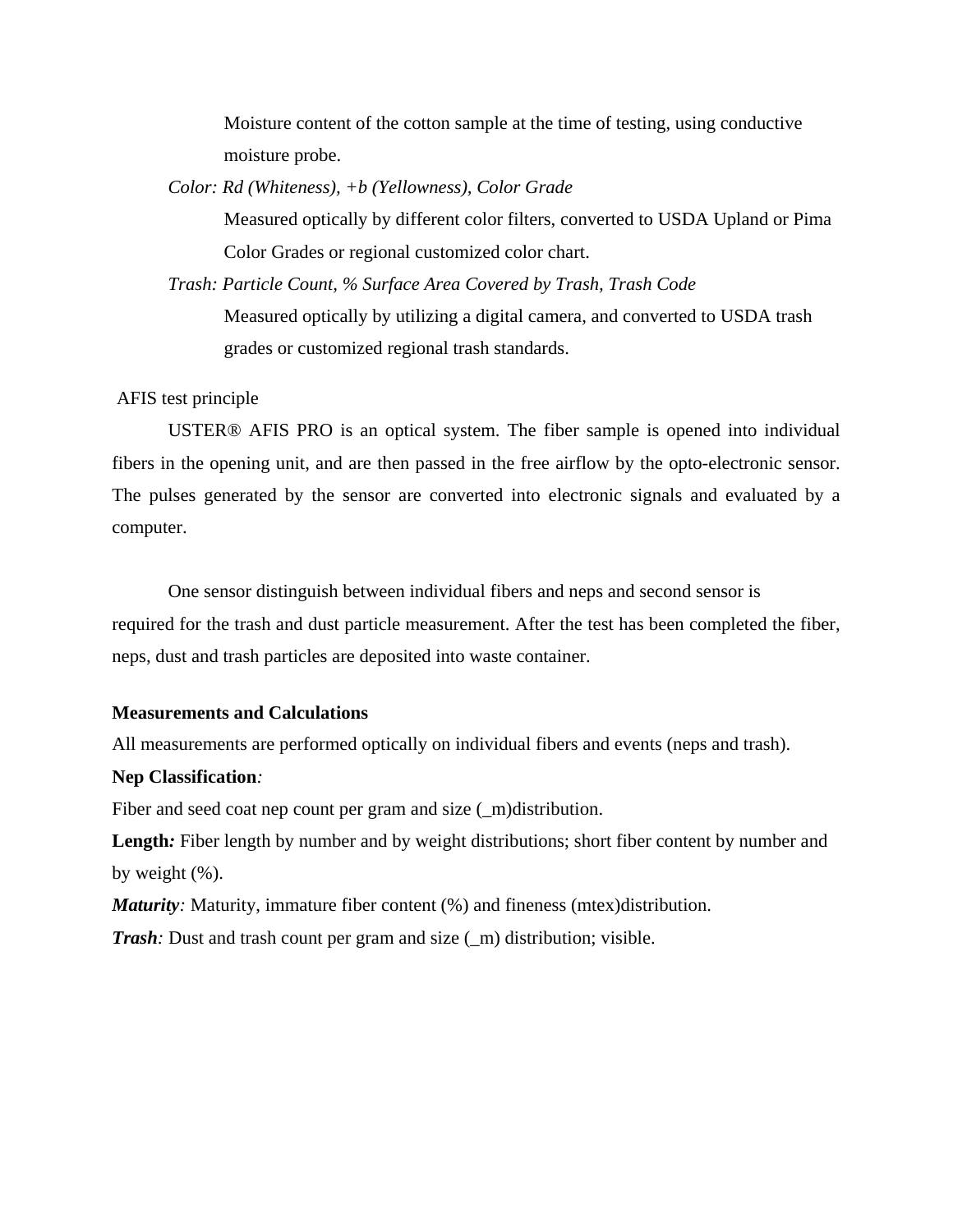Moisture content of the cotton sample at the time of testing, using conductive moisture probe.

*Color: Rd (Whiteness), +b (Yellowness), Color Grade* 

Measured optically by different color filters, converted to USDA Upland or Pima Color Grades or regional customized color chart.

*Trash: Particle Count, % Surface Area Covered by Trash, Trash Code*  Measured optically by utilizing a digital camera, and converted to USDA trash grades or customized regional trash standards.

#### AFIS test principle

USTER® AFIS PRO is an optical system. The fiber sample is opened into individual fibers in the opening unit, and are then passed in the free airflow by the opto-electronic sensor. The pulses generated by the sensor are converted into electronic signals and evaluated by a computer.

One sensor distinguish between individual fibers and neps and second sensor is required for the trash and dust particle measurement. After the test has been completed the fiber, neps, dust and trash particles are deposited into waste container.

### **Measurements and Calculations**

All measurements are performed optically on individual fibers and events (neps and trash).

## **Nep Classification***:*

Fiber and seed coat nep count per gram and size  $(\_m)$ distribution.

Length: Fiber length by number and by weight distributions; short fiber content by number and by weight  $(\% )$ .

*Maturity*: Maturity, immature fiber content (%) and fineness (mtex)distribution.

*Trash*: Dust and trash count per gram and size (\_m) distribution; visible.